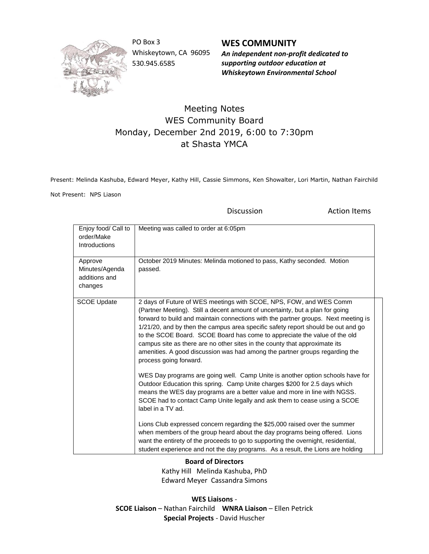

PO Box 3 Whiskeytown, CA 96095 530.945.6585

**WES COMMUNITY** *An independent non-profit dedicated to supporting outdoor education at Whiskeytown Environmental School*

## Meeting Notes WES Community Board Monday, December 2nd 2019, 6:00 to 7:30pm at Shasta YMCA

Present: Melinda Kashuba, Edward Meyer, Kathy Hill, Cassie Simmons, Ken Showalter, Lori Martin, Nathan Fairchild

Not Present: NPS Liason

Discussion **Action Items** 

| Enjoy food/ Call to<br>order/Make<br>Introductions    | Meeting was called to order at 6:05pm                                                                                                                                                                                                                                                                                                                                                                                                                                                                                                                                                             |
|-------------------------------------------------------|---------------------------------------------------------------------------------------------------------------------------------------------------------------------------------------------------------------------------------------------------------------------------------------------------------------------------------------------------------------------------------------------------------------------------------------------------------------------------------------------------------------------------------------------------------------------------------------------------|
| Approve<br>Minutes/Agenda<br>additions and<br>changes | October 2019 Minutes: Melinda motioned to pass, Kathy seconded. Motion<br>passed.                                                                                                                                                                                                                                                                                                                                                                                                                                                                                                                 |
| <b>SCOE Update</b>                                    | 2 days of Future of WES meetings with SCOE, NPS, FOW, and WES Comm<br>(Partner Meeting). Still a decent amount of uncertainty, but a plan for going<br>forward to build and maintain connections with the partner groups. Next meeting is<br>1/21/20, and by then the campus area specific safety report should be out and go<br>to the SCOE Board. SCOE Board has come to appreciate the value of the old<br>campus site as there are no other sites in the county that approximate its<br>amenities. A good discussion was had among the partner groups regarding the<br>process going forward. |
|                                                       | WES Day programs are going well. Camp Unite is another option schools have for<br>Outdoor Education this spring. Camp Unite charges \$200 for 2.5 days which<br>means the WES day programs are a better value and more in line with NGSS.<br>SCOE had to contact Camp Unite legally and ask them to cease using a SCOE<br>label in a TV ad.                                                                                                                                                                                                                                                       |
|                                                       | Lions Club expressed concern regarding the \$25,000 raised over the summer<br>when members of the group heard about the day programs being offered. Lions<br>want the entirety of the proceeds to go to supporting the overnight, residential,<br>student experience and not the day programs. As a result, the Lions are holding                                                                                                                                                                                                                                                                 |

**Board of Directors**

Kathy Hill Melinda Kashuba, PhD Edward Meyer Cassandra Simons

**WES Liaisons** - **SCOE Liaison** – Nathan Fairchild **WNRA Liaison** – Ellen Petrick **Special Projects** - David Huscher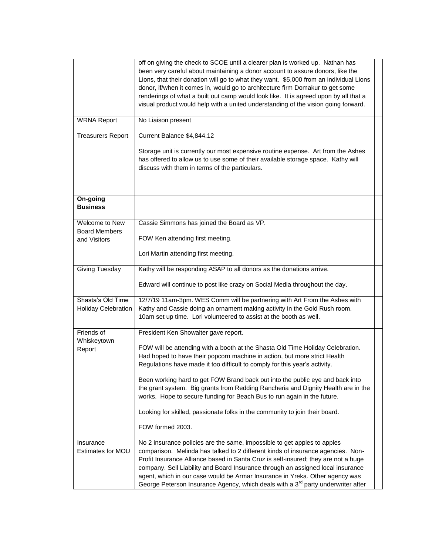|                                | off on giving the check to SCOE until a clearer plan is worked up. Nathan has<br>been very careful about maintaining a donor account to assure donors, like the<br>Lions, that their donation will go to what they want. \$5,000 from an individual Lions<br>donor, if/when it comes in, would go to architecture firm Domakur to get some<br>renderings of what a built out camp would look like. It is agreed upon by all that a<br>visual product would help with a united understanding of the vision going forward. |  |
|--------------------------------|--------------------------------------------------------------------------------------------------------------------------------------------------------------------------------------------------------------------------------------------------------------------------------------------------------------------------------------------------------------------------------------------------------------------------------------------------------------------------------------------------------------------------|--|
| <b>WRNA Report</b>             | No Liaison present                                                                                                                                                                                                                                                                                                                                                                                                                                                                                                       |  |
| <b>Treasurers Report</b>       | Current Balance \$4,844.12                                                                                                                                                                                                                                                                                                                                                                                                                                                                                               |  |
|                                | Storage unit is currently our most expensive routine expense. Art from the Ashes<br>has offered to allow us to use some of their available storage space. Kathy will<br>discuss with them in terms of the particulars.                                                                                                                                                                                                                                                                                                   |  |
| On-going<br><b>Business</b>    |                                                                                                                                                                                                                                                                                                                                                                                                                                                                                                                          |  |
| Welcome to New                 | Cassie Simmons has joined the Board as VP.                                                                                                                                                                                                                                                                                                                                                                                                                                                                               |  |
| <b>Board Members</b>           |                                                                                                                                                                                                                                                                                                                                                                                                                                                                                                                          |  |
| and Visitors                   | FOW Ken attending first meeting.                                                                                                                                                                                                                                                                                                                                                                                                                                                                                         |  |
|                                | Lori Martin attending first meeting.                                                                                                                                                                                                                                                                                                                                                                                                                                                                                     |  |
| Giving Tuesday                 | Kathy will be responding ASAP to all donors as the donations arrive.                                                                                                                                                                                                                                                                                                                                                                                                                                                     |  |
|                                | Edward will continue to post like crazy on Social Media throughout the day.                                                                                                                                                                                                                                                                                                                                                                                                                                              |  |
| Shasta's Old Time              | 12/7/19 11am-3pm. WES Comm will be partnering with Art From the Ashes with                                                                                                                                                                                                                                                                                                                                                                                                                                               |  |
| <b>Holiday Celebration</b>     | Kathy and Cassie doing an ornament making activity in the Gold Rush room.                                                                                                                                                                                                                                                                                                                                                                                                                                                |  |
|                                | 10am set up time. Lori volunteered to assist at the booth as well.                                                                                                                                                                                                                                                                                                                                                                                                                                                       |  |
| Friends of                     | President Ken Showalter gave report.                                                                                                                                                                                                                                                                                                                                                                                                                                                                                     |  |
| Whiskeytown<br>Report          | FOW will be attending with a booth at the Shasta Old Time Holiday Celebration.<br>Had hoped to have their popcorn machine in action, but more strict Health<br>Regulations have made it too difficult to comply for this year's activity.                                                                                                                                                                                                                                                                                |  |
|                                | Been working hard to get FOW Brand back out into the public eye and back into<br>the grant system. Big grants from Redding Rancheria and Dignity Health are in the<br>works. Hope to secure funding for Beach Bus to run again in the future.                                                                                                                                                                                                                                                                            |  |
|                                | Looking for skilled, passionate folks in the community to join their board.                                                                                                                                                                                                                                                                                                                                                                                                                                              |  |
|                                | FOW formed 2003.                                                                                                                                                                                                                                                                                                                                                                                                                                                                                                         |  |
| Insurance<br>Estimates for MOU | No 2 insurance policies are the same, impossible to get apples to apples<br>comparison. Melinda has talked to 2 different kinds of insurance agencies. Non-<br>Profit Insurance Alliance based in Santa Cruz is self-insured; they are not a huge<br>company. Sell Liability and Board Insurance through an assigned local insurance<br>agent, which in our case would be Armar Insurance in Yreka. Other agency was<br>George Peterson Insurance Agency, which deals with a 3 <sup>rd</sup> party underwriter after     |  |